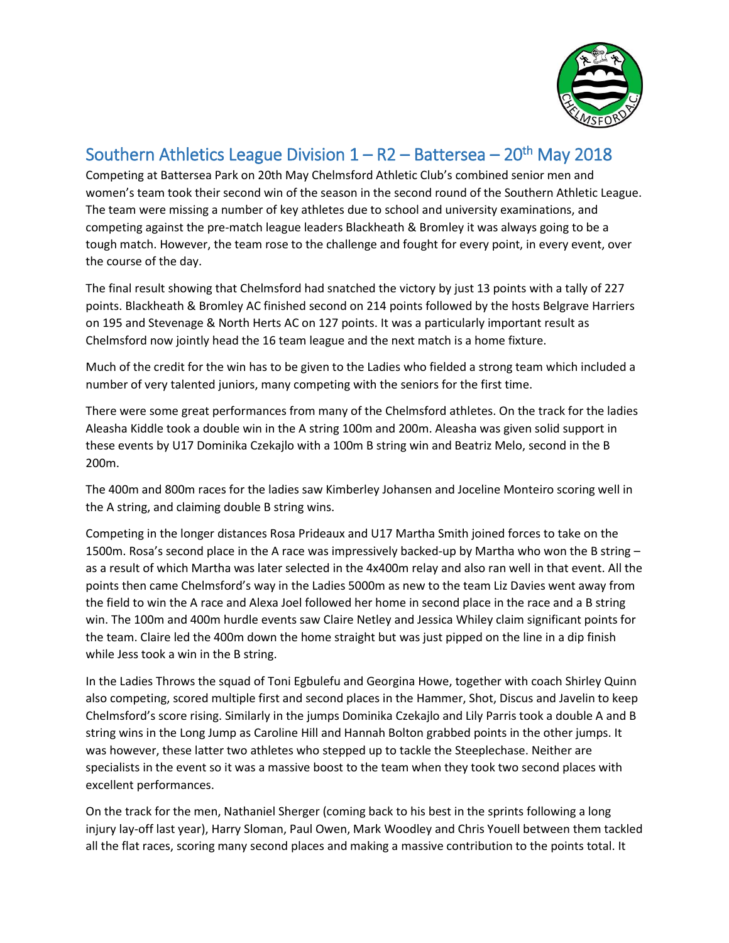

## Southern Athletics League Division 1 – R2 – Battersea – 20<sup>th</sup> May 2018

Competing at Battersea Park on 20th May Chelmsford Athletic Club's combined senior men and women's team took their second win of the season in the second round of the Southern Athletic League. The team were missing a number of key athletes due to school and university examinations, and competing against the pre-match league leaders Blackheath & Bromley it was always going to be a tough match. However, the team rose to the challenge and fought for every point, in every event, over the course of the day.

The final result showing that Chelmsford had snatched the victory by just 13 points with a tally of 227 points. Blackheath & Bromley AC finished second on 214 points followed by the hosts Belgrave Harriers on 195 and Stevenage & North Herts AC on 127 points. It was a particularly important result as Chelmsford now jointly head the 16 team league and the next match is a home fixture.

Much of the credit for the win has to be given to the Ladies who fielded a strong team which included a number of very talented juniors, many competing with the seniors for the first time.

There were some great performances from many of the Chelmsford athletes. On the track for the ladies Aleasha Kiddle took a double win in the A string 100m and 200m. Aleasha was given solid support in these events by U17 Dominika Czekajlo with a 100m B string win and Beatriz Melo, second in the B 200m.

The 400m and 800m races for the ladies saw Kimberley Johansen and Joceline Monteiro scoring well in the A string, and claiming double B string wins.

Competing in the longer distances Rosa Prideaux and U17 Martha Smith joined forces to take on the 1500m. Rosa's second place in the A race was impressively backed-up by Martha who won the B string – as a result of which Martha was later selected in the 4x400m relay and also ran well in that event. All the points then came Chelmsford's way in the Ladies 5000m as new to the team Liz Davies went away from the field to win the A race and Alexa Joel followed her home in second place in the race and a B string win. The 100m and 400m hurdle events saw Claire Netley and Jessica Whiley claim significant points for the team. Claire led the 400m down the home straight but was just pipped on the line in a dip finish while Jess took a win in the B string.

In the Ladies Throws the squad of Toni Egbulefu and Georgina Howe, together with coach Shirley Quinn also competing, scored multiple first and second places in the Hammer, Shot, Discus and Javelin to keep Chelmsford's score rising. Similarly in the jumps Dominika Czekajlo and Lily Parris took a double A and B string wins in the Long Jump as Caroline Hill and Hannah Bolton grabbed points in the other jumps. It was however, these latter two athletes who stepped up to tackle the Steeplechase. Neither are specialists in the event so it was a massive boost to the team when they took two second places with excellent performances.

On the track for the men, Nathaniel Sherger (coming back to his best in the sprints following a long injury lay-off last year), Harry Sloman, Paul Owen, Mark Woodley and Chris Youell between them tackled all the flat races, scoring many second places and making a massive contribution to the points total. It